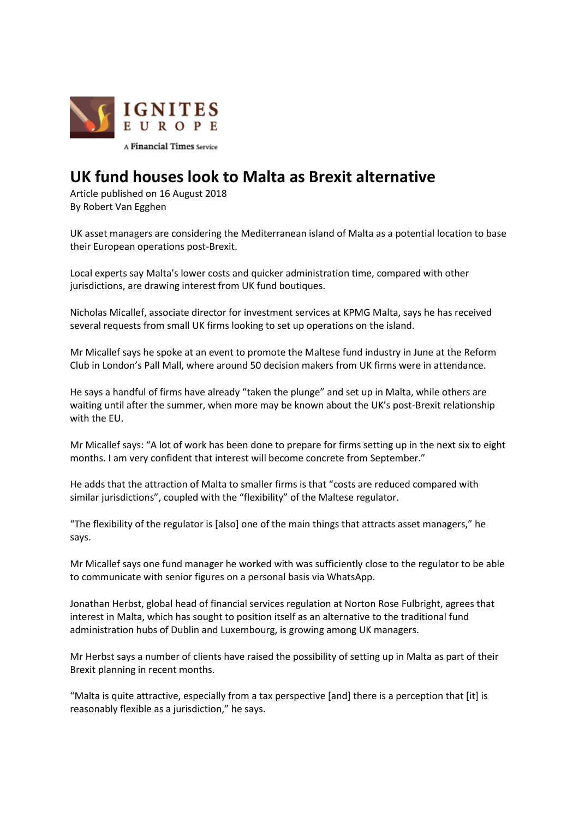

## **UK fund houses look to Malta as Brexit alternative**

Article published on 16 August 2018 By Robert Van Egghen

UK asset managers are considering the Mediterranean island of Malta as a potential location to base their European operations post-Brexit.

Local experts say Malta's lower costs and quicker administration time, compared with other jurisdictions, are drawing interest from UK fund boutiques.

Nicholas Micallef, associate director for investment services at KPMG Malta, says he has received several requests from small UK firms looking to set up operations on the island.

Mr Micallef says he spoke at an event to promote the Maltese fund industry in June at the Reform Club in London's Pall Mall, where around 50 decision makers from UK firms were in attendance.

He says a handful of firms have already "taken the plunge" and set up in Malta, while others are waiting until after the summer, when more may be known about the UK's post-Brexit relationship with the EU.

Mr Micallef says: "A lot of work has been done to prepare for firms setting up in the next six to eight months. I am very confident that interest will become concrete from September."

He adds that the attraction of Malta to smaller firms is that "costs are reduced compared with similar jurisdictions", coupled with the "flexibility" of the Maltese regulator.

"The flexibility of the regulator is [also] one of the main things that attracts asset managers," he says.

Mr Micallef says one fund manager he worked with was sufficiently close to the regulator to be able to communicate with senior figures on a personal basis via WhatsApp.

Jonathan Herbst, global head of financial services regulation at Norton Rose Fulbright, agrees that interest in Malta, which has sought to position itself as an alternative to the traditional fund administration hubs of Dublin and Luxembourg, is growing among UK managers.

Mr Herbst says a number of clients have raised the possibility of setting up in Malta as part of their Brexit planning in recent months.

"Malta is quite attractive, especially from a tax perspective [and] there is a perception that [it] is reasonably flexible as a jurisdiction," he says.